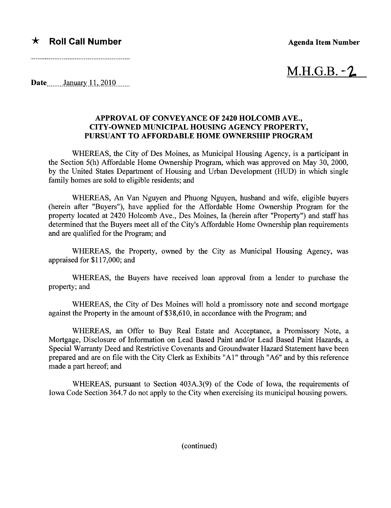## $\star$  Roll Call Number  $\star$  Agenda Item Number

 $M.H.G.B. -2$ 

Date January 11, 2010

## APPROVAL OF CONVEYANCE OF 2420 HOLCOMB AVE., CITY-OWNED MUNICIPAL HOUSING AGENCY PROPERTY, PURSUANT TO AFFORDABLE HOME OWNERSHIP PROGRAM

WHEREAS, the City of Des Moines, as Municipal Housing Agency, is a participant in the Section 5(h) Affordable Home Ownership Program, which was approved on May 30, 2000, by the United States Deparment of Housing and Urban Development (HUD) in which single family homes are sold to eligible residents; and

WHEREAS, An Van Nguyen and Phuong Nguyen, husband and wife, eligible buyers (herein after "Buyers"), have applied for the Affordable Home Ownership Program for the property located at 2420 Holcomb Ave., Des Moines, Ia (herein after "Property") and staff has determined that the Buyers meet all of the City's Affordable Home Ownership plan requirements and are qualified for the Program; and

WHEREAS, the Property, owned by the City as Municipal Housing Agency, was appraised for \$117,000; and

WHEREAS, the Buyers have received loan approval from a lender to purchase the property; and

WHEREAS, the City of Des Moines will hold a promissory note and second mortgage against the Property in the amount of \$38,610, in accordance with the Program; and

WHEREAS, an Offer to Buy Real Estate and Acceptance, a Promissory Note, a Mortgage, Disclosure of Information on Lead Based Paint and/or Lead Based Paint Hazards, a Special Waranty Deed and Restrictive Covenants and Groundwater Hazard Statement have been prepared and are on file with the City Clerk as Exhibits "AI" through "A6" and by this reference made a part hereof; and

WHEREAS, pursuant to Section 403A.3(9) of the Code of Iowa, the requirements of Iowa Code Section 364.7 do not apply to the City when exercising its municipal housing powers.

(continued)